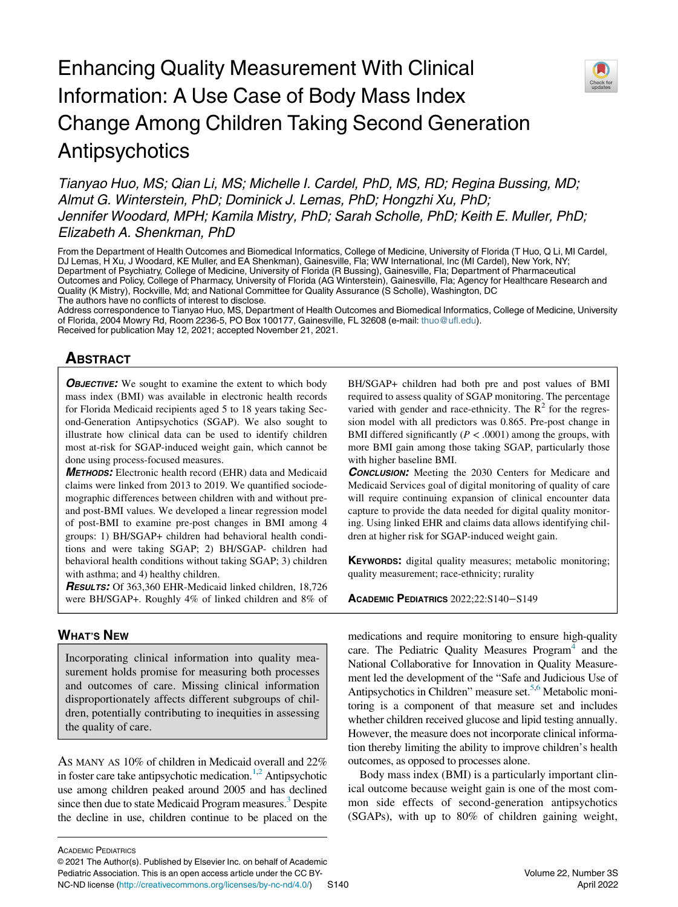# Enhancing Quality Measurement With Clinical Information: A Use Case of Body Mass Index Change Among Children Taking Second Generation Antipsychotics



From the Department of Health Outcomes and Biomedical Informatics, College of Medicine, University of Florida (T Huo, Q Li, MI Cardel, DJ Lemas, H Xu, J Woodard, KE Muller, and EA Shenkman), Gainesville, Fla; WW International, Inc (MI Cardel), New York, NY; Department of Psychiatry, College of Medicine, University of Florida (R Bussing), Gainesville, Fla; Department of Pharmaceutical Outcomes and Policy, College of Pharmacy, University of Florida (AG Winterstein), Gainesville, Fla; Agency for Healthcare Research and Quality (K Mistry), Rockville, Md; and National Committee for Quality Assurance (S Scholle), Washington, DC The authors have no conflicts of interest to disclose.

Address correspondence to Tianyao Huo, MS, Department of Health Outcomes and Biomedical Informatics, College of Medicine, University of Florida, 2004 Mowry Rd, Room 2236-5, PO Box 100177, Gainesville, FL 32608 (e-mail: [thuo@ufl.edu\)](mailto:thuo@ufl.edu). Received for publication May 12, 2021; accepted November 21, 2021.

# **ABSTRACT** <u>ABSTRACT</u>

**OBJECTIVE:** We sought to examine the extent to which body mass index (BMI) was available in electronic health records for Florida Medicaid recipients aged 5 to 18 years taking Second-Generation Antipsychotics (SGAP). We also sought to illustrate how clinical data can be used to identify children most at-risk for SGAP-induced weight gain, which cannot be done using process-focused measures.

METHODS: Electronic health record (EHR) data and Medicaid claims were linked from 2013 to 2019. We quantified sociodemographic differences between children with and without preand post-BMI values. We developed a linear regression model of post-BMI to examine pre-post changes in BMI among 4 groups: 1) BH/SGAP+ children had behavioral health conditions and were taking SGAP; 2) BH/SGAP- children had behavioral health conditions without taking SGAP; 3) children with asthma; and 4) healthy children.

RESULTS: Of 363,360 EHR-Medicaid linked children, 18,726 were BH/SGAP+. Roughly 4% of linked children and 8% of

# **WHAT'S NEW** <u>www.comm</u>

Incorporating clinical information into quality measurement holds promise for measuring both processes and outcomes of care. Missing clinical information disproportionately affects different subgroups of children, potentially contributing to inequities in assessing the quality of care.

AS MANY AS 10% of children in Medicaid overall and 22% in foster care take antipsychotic medication.<sup>[1](#page-8-0)[,2](#page-8-1)</sup> Antipsychotic use among children peaked around 2005 and has declined since then due to state Medicaid Program measures.<sup>3</sup> Despite the decline in use, children continue to be placed on the BH/SGAP+ children had both pre and post values of BMI required to assess quality of SGAP monitoring. The percentage varied with gender and race-ethnicity. The  $\mathbb{R}^2$  for the regression model with all predictors was 0.865. Pre-post change in BMI differed significantly ( $P < .0001$ ) among the groups, with more BMI gain among those taking SGAP, particularly those with higher baseline BMI.

**CONCLUSION:** Meeting the 2030 Centers for Medicare and Medicaid Services goal of digital monitoring of quality of care will require continuing expansion of clinical encounter data capture to provide the data needed for digital quality monitoring. Using linked EHR and claims data allows identifying children at higher risk for SGAP-induced weight gain.

**KEYWORDS:** digital quality measures; metabolic monitoring; quality measurement; race-ethnicity; rurality

ACADEMIC PEDIATRICS 2022;22:S140−S149

medications and require monitoring to ensure high-quality care. The Pediatric Quality Measures  $P_{\text{rogram}}^4$  and the National Collaborative for Innovation in Quality Measurement led the development of the "Safe and Judicious Use of Antipsychotics in Children" measure set.<sup>5,[6](#page-8-5)</sup> Metabolic monitoring is a component of that measure set and includes whether children received glucose and lipid testing annually. However, the measure does not incorporate clinical information thereby limiting the ability to improve children's health outcomes, as opposed to processes alone.

Body mass index (BMI) is a particularly important clinical outcome because weight gain is one of the most common side effects of second-generation antipsychotics (SGAPs), with up to 80% of children gaining weight,

ACADEMIC PEDIATRICS

© 2021 The Author(s). Published by Elsevier Inc. on behalf of Academic Pediatric Association. This is an open access article under the CC BY-NC-ND license [\(http://creativecommons.org/licenses/by-nc-nd/4.0/\)](http://creativecommons.org/licenses/by-nc-nd/4.0/) S140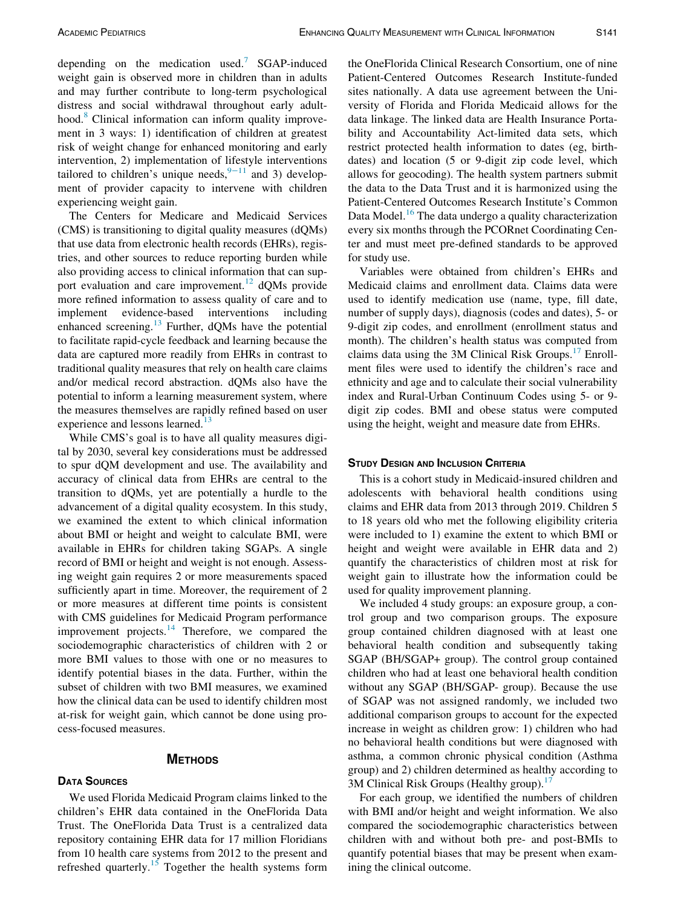depending on the medication used.<sup>[7](#page-8-6)</sup> SGAP-induced weight gain is observed more in children than in adults and may further contribute to long-term psychological distress and social withdrawal throughout early adulthood.<sup>8</sup> Clinical information can inform quality improvement in 3 ways: 1) identification of children at greatest risk of weight change for enhanced monitoring and early intervention, 2) implementation of lifestyle interventions tailored to children's unique needs,<sup>9-[11](#page-8-8)</sup> and 3) development of provider capacity to intervene with children experiencing weight gain.

The Centers for Medicare and Medicaid Services (CMS) is transitioning to digital quality measures (dQMs) that use data from electronic health records (EHRs), registries, and other sources to reduce reporting burden while also providing access to clinical information that can sup-port evaluation and care improvement.<sup>[12](#page-8-9)</sup> dQMs provide more refined information to assess quality of care and to implement evidence-based interventions including enhanced screening.<sup>[13](#page-8-10)</sup> Further, dQMs have the potential to facilitate rapid-cycle feedback and learning because the data are captured more readily from EHRs in contrast to traditional quality measures that rely on health care claims and/or medical record abstraction. dQMs also have the potential to inform a learning measurement system, where the measures themselves are rapidly refined based on user experience and lessons learned.<sup>[13](#page-8-10)</sup>

While CMS's goal is to have all quality measures digital by 2030, several key considerations must be addressed to spur dQM development and use. The availability and accuracy of clinical data from EHRs are central to the transition to dQMs, yet are potentially a hurdle to the advancement of a digital quality ecosystem. In this study, we examined the extent to which clinical information about BMI or height and weight to calculate BMI, were available in EHRs for children taking SGAPs. A single record of BMI or height and weight is not enough. Assessing weight gain requires 2 or more measurements spaced sufficiently apart in time. Moreover, the requirement of 2 or more measures at different time points is consistent with CMS guidelines for Medicaid Program performance improvement projects. $14$  Therefore, we compared the sociodemographic characteristics of children with 2 or more BMI values to those with one or no measures to identify potential biases in the data. Further, within the subset of children with two BMI measures, we examined how the clinical data can be used to identify children most at-risk for weight gain, which cannot be done using process-focused measures.

## **METHODS** METHODS

# **DATA SOURCES**

We used Florida Medicaid Program claims linked to the children's EHR data contained in the OneFlorida Data Trust. The OneFlorida Data Trust is a centralized data repository containing EHR data for 17 million Floridians from 10 health care systems from 2012 to the present and refreshed quarterly.<sup>[15](#page-8-12)</sup> Together the health systems form the OneFlorida Clinical Research Consortium, one of nine Patient-Centered Outcomes Research Institute-funded sites nationally. A data use agreement between the University of Florida and Florida Medicaid allows for the data linkage. The linked data are Health Insurance Portability and Accountability Act-limited data sets, which restrict protected health information to dates (eg, birthdates) and location (5 or 9-digit zip code level, which allows for geocoding). The health system partners submit the data to the Data Trust and it is harmonized using the Patient-Centered Outcomes Research Institute's Common Data Model.<sup>16</sup> The data undergo a quality characterization every six months through the PCORnet Coordinating Center and must meet pre-defined standards to be approved for study use.

Variables were obtained from children's EHRs and Medicaid claims and enrollment data. Claims data were used to identify medication use (name, type, fill date, number of supply days), diagnosis (codes and dates), 5- or 9-digit zip codes, and enrollment (enrollment status and month). The children's health status was computed from claims data using the 3M Clinical Risk Groups. $^{17}$  $^{17}$  $^{17}$  Enrollment files were used to identify the children's race and ethnicity and age and to calculate their social vulnerability index and Rural-Urban Continuum Codes using 5- or 9 digit zip codes. BMI and obese status were computed using the height, weight and measure date from EHRs.

### **STUDY DESIGN AND INCLUSION CRITERIA**

This is a cohort study in Medicaid-insured children and adolescents with behavioral health conditions using claims and EHR data from 2013 through 2019. Children 5 to 18 years old who met the following eligibility criteria were included to 1) examine the extent to which BMI or height and weight were available in EHR data and 2) quantify the characteristics of children most at risk for weight gain to illustrate how the information could be used for quality improvement planning.

We included 4 study groups: an exposure group, a control group and two comparison groups. The exposure group contained children diagnosed with at least one behavioral health condition and subsequently taking SGAP (BH/SGAP+ group). The control group contained children who had at least one behavioral health condition without any SGAP (BH/SGAP- group). Because the use of SGAP was not assigned randomly, we included two additional comparison groups to account for the expected increase in weight as children grow: 1) children who had no behavioral health conditions but were diagnosed with asthma, a common chronic physical condition (Asthma group) and 2) children determined as healthy according to 3M Clinical Risk Groups (Healthy group).<sup>[17](#page-8-14)</sup>

For each group, we identified the numbers of children with BMI and/or height and weight information. We also compared the sociodemographic characteristics between children with and without both pre- and post-BMIs to quantify potential biases that may be present when examining the clinical outcome.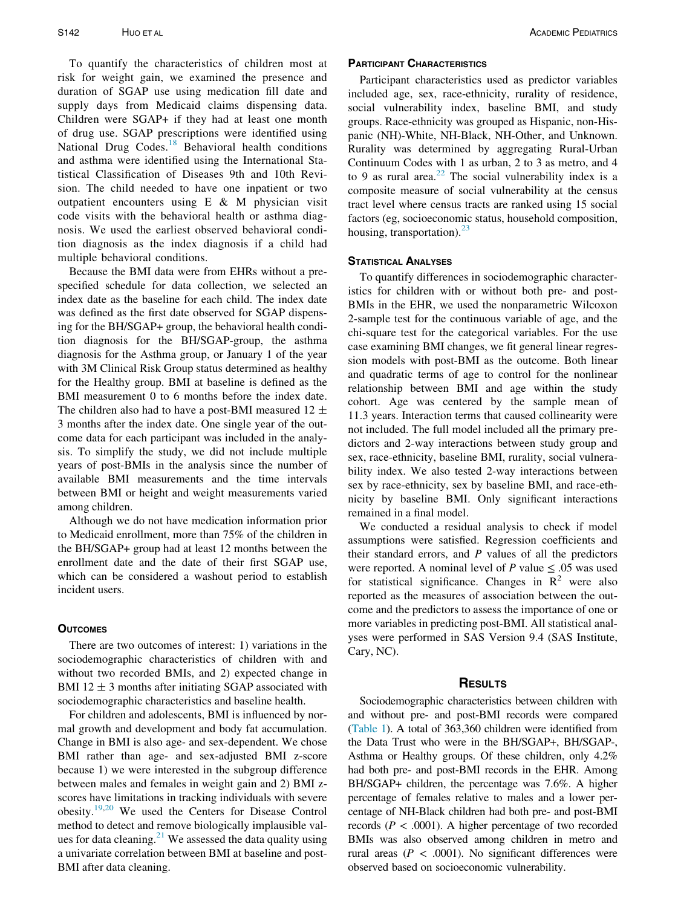To quantify the characteristics of children most at risk for weight gain, we examined the presence and duration of SGAP use using medication fill date and supply days from Medicaid claims dispensing data. Children were SGAP+ if they had at least one month of drug use. SGAP prescriptions were identified using National Drug Codes. $18$  Behavioral health conditions and asthma were identified using the International Statistical Classification of Diseases 9th and 10th Revision. The child needed to have one inpatient or two outpatient encounters using E & M physician visit code visits with the behavioral health or asthma diagnosis. We used the earliest observed behavioral condition diagnosis as the index diagnosis if a child had multiple behavioral conditions.

Because the BMI data were from EHRs without a prespecified schedule for data collection, we selected an index date as the baseline for each child. The index date was defined as the first date observed for SGAP dispensing for the BH/SGAP+ group, the behavioral health condition diagnosis for the BH/SGAP-group, the asthma diagnosis for the Asthma group, or January 1 of the year with 3M Clinical Risk Group status determined as healthy for the Healthy group. BMI at baseline is defined as the BMI measurement 0 to 6 months before the index date. The children also had to have a post-BMI measured  $12 \pm$ 3 months after the index date. One single year of the outcome data for each participant was included in the analysis. To simplify the study, we did not include multiple years of post-BMIs in the analysis since the number of available BMI measurements and the time intervals between BMI or height and weight measurements varied among children.

Although we do not have medication information prior to Medicaid enrollment, more than 75% of the children in the BH/SGAP+ group had at least 12 months between the enrollment date and the date of their first SGAP use, which can be considered a washout period to establish incident users.

There are two outcomes of interest: 1) variations in the sociodemographic characteristics of children with and without two recorded BMIs, and 2) expected change in BMI 12  $\pm$  3 months after initiating SGAP associated with sociodemographic characteristics and baseline health.

For children and adolescents, BMI is influenced by normal growth and development and body fat accumulation. Change in BMI is also age- and sex-dependent. We chose BMI rather than age- and sex-adjusted BMI z-score because 1) we were interested in the subgroup difference between males and females in weight gain and 2) BMI zscores have limitations in tracking individuals with severe obesity[.19](#page-8-16)[,20](#page-9-0) We used the Centers for Disease Control method to detect and remove biologically implausible val-ues for data cleaning.<sup>[21](#page-9-1)</sup> We assessed the data quality using a univariate correlation between BMI at baseline and post-BMI after data cleaning.

Participant characteristics used as predictor variables included age, sex, race-ethnicity, rurality of residence, social vulnerability index, baseline BMI, and study groups. Race-ethnicity was grouped as Hispanic, non-Hispanic (NH)-White, NH-Black, NH-Other, and Unknown. Rurality was determined by aggregating Rural-Urban Continuum Codes with 1 as urban, 2 to 3 as metro, and 4 to 9 as rural area.<sup>[22](#page-9-2)</sup> The social vulnerability index is a composite measure of social vulnerability at the census tract level where census tracts are ranked using 15 social factors (eg, socioeconomic status, household composition, housing, transportation). $23$ 

To quantify differences in sociodemographic characteristics for children with or without both pre- and post-BMIs in the EHR, we used the nonparametric Wilcoxon 2-sample test for the continuous variable of age, and the chi-square test for the categorical variables. For the use case examining BMI changes, we fit general linear regression models with post-BMI as the outcome. Both linear and quadratic terms of age to control for the nonlinear relationship between BMI and age within the study cohort. Age was centered by the sample mean of 11.3 years. Interaction terms that caused collinearity were not included. The full model included all the primary predictors and 2-way interactions between study group and sex, race-ethnicity, baseline BMI, rurality, social vulnerability index. We also tested 2-way interactions between sex by race-ethnicity, sex by baseline BMI, and race-ethnicity by baseline BMI. Only significant interactions remained in a final model.

We conducted a residual analysis to check if model assumptions were satisfied. Regression coefficients and their standard errors, and  $P$  values of all the predictors were reported. A nominal level of P value  $\leq .05$  was used for statistical significance. Changes in  $\mathbb{R}^2$  were also reported as the measures of association between the outcome and the predictors to assess the importance of one or more variables in predicting post-BMI. All statistical analyses were performed in SAS Version 9.4 (SAS Institute, Cary, NC).

Sociodemographic characteristics between children with and without pre- and post-BMI records were compared ([Table 1\)](#page-3-0). A total of 363,360 children were identified from the Data Trust who were in the BH/SGAP+, BH/SGAP-, Asthma or Healthy groups. Of these children, only 4.2% had both pre- and post-BMI records in the EHR. Among BH/SGAP+ children, the percentage was 7.6%. A higher percentage of females relative to males and a lower percentage of NH-Black children had both pre- and post-BMI records ( $P < .0001$ ). A higher percentage of two recorded BMIs was also observed among children in metro and rural areas ( $P < .0001$ ). No significant differences were observed based on socioeconomic vulnerability.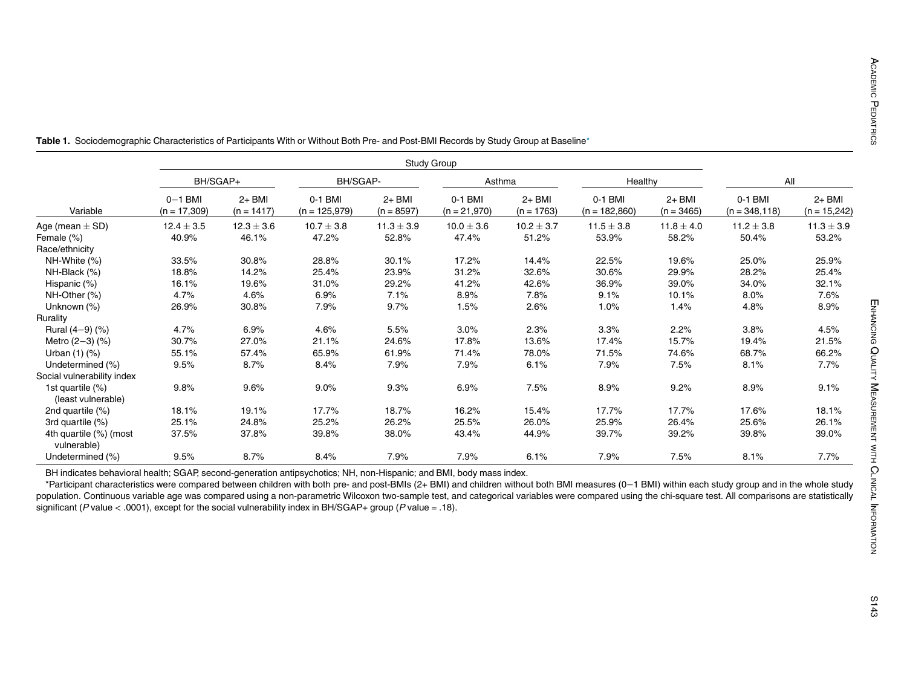|                                           | Study Group                 |                          |                            |                          |                           |                          |                            |                        |                             |                          |
|-------------------------------------------|-----------------------------|--------------------------|----------------------------|--------------------------|---------------------------|--------------------------|----------------------------|------------------------|-----------------------------|--------------------------|
| Variable                                  | BH/SGAP+                    |                          | BH/SGAP-                   |                          | Asthma                    |                          | Healthy                    |                        | All                         |                          |
|                                           | $0-1$ BMI<br>$(n = 17,309)$ | $2+$ BMI<br>$(n = 1417)$ | 0-1 BMI<br>$(n = 125,979)$ | $2+$ BMI<br>$(n = 8597)$ | 0-1 BMI<br>$(n = 21,970)$ | $2+$ BMI<br>$(n = 1763)$ | 0-1 BMI<br>$(n = 182,860)$ | 2+ BMI<br>$(n = 3465)$ | 0-1 BMI<br>$(n = 348, 118)$ | 2+ BMI<br>$(n = 15,242)$ |
| Age (mean $\pm$ SD)                       | $12.4 \pm 3.5$              | $12.3 \pm 3.6$           | $10.7 \pm 3.8$             | $11.3 \pm 3.9$           | $10.0 \pm 3.6$            | $10.2 \pm 3.7$           | $11.5 \pm 3.8$             | $11.8 \pm 4.0$         | $11.2 \pm 3.8$              | $11.3 \pm 3.9$           |
| Female (%)                                | 40.9%                       | 46.1%                    | 47.2%                      | 52.8%                    | 47.4%                     | 51.2%                    | 53.9%                      | 58.2%                  | 50.4%                       | 53.2%                    |
| Race/ethnicity                            |                             |                          |                            |                          |                           |                          |                            |                        |                             |                          |
| NH-White (%)                              | 33.5%                       | 30.8%                    | 28.8%                      | 30.1%                    | 17.2%                     | 14.4%                    | 22.5%                      | 19.6%                  | 25.0%                       | 25.9%                    |
| NH-Black (%)                              | 18.8%                       | 14.2%                    | 25.4%                      | 23.9%                    | 31.2%                     | 32.6%                    | 30.6%                      | 29.9%                  | 28.2%                       | 25.4%                    |
| Hispanic (%)                              | 16.1%                       | 19.6%                    | 31.0%                      | 29.2%                    | 41.2%                     | 42.6%                    | 36.9%                      | 39.0%                  | 34.0%                       | 32.1%                    |
| NH-Other (%)                              | 4.7%                        | 4.6%                     | 6.9%                       | 7.1%                     | 8.9%                      | 7.8%                     | 9.1%                       | 10.1%                  | 8.0%                        | 7.6%                     |
| Unknown (%)                               | 26.9%                       | 30.8%                    | 7.9%                       | 9.7%                     | 1.5%                      | 2.6%                     | 1.0%                       | 1.4%                   | 4.8%                        | 8.9%                     |
| Rurality                                  |                             |                          |                            |                          |                           |                          |                            |                        |                             |                          |
| Rural $(4-9)$ $(\%)$                      | 4.7%                        | 6.9%                     | 4.6%                       | 5.5%                     | 3.0%                      | 2.3%                     | 3.3%                       | 2.2%                   | 3.8%                        | 4.5%                     |
| Metro $(2-3)$ $(\%)$                      | 30.7%                       | 27.0%                    | 21.1%                      | 24.6%                    | 17.8%                     | 13.6%                    | 17.4%                      | 15.7%                  | 19.4%                       | 21.5%                    |
| Urban $(1)$ $(\%)$                        | 55.1%                       | 57.4%                    | 65.9%                      | 61.9%                    | 71.4%                     | 78.0%                    | 71.5%                      | 74.6%                  | 68.7%                       | 66.2%                    |
| Undetermined (%)                          | 9.5%                        | 8.7%                     | 8.4%                       | 7.9%                     | 7.9%                      | 6.1%                     | 7.9%                       | 7.5%                   | 8.1%                        | 7.7%                     |
| Social vulnerability index                |                             |                          |                            |                          |                           |                          |                            |                        |                             |                          |
| 1st quartile $(\%)$<br>(least vulnerable) | 9.8%                        | 9.6%                     | 9.0%                       | 9.3%                     | 6.9%                      | 7.5%                     | 8.9%                       | 9.2%                   | 8.9%                        | 9.1%                     |
| 2nd quartile (%)                          | 18.1%                       | 19.1%                    | 17.7%                      | 18.7%                    | 16.2%                     | 15.4%                    | 17.7%                      | 17.7%                  | 17.6%                       | 18.1%                    |
| 3rd quartile (%)                          | 25.1%                       | 24.8%                    | 25.2%                      | 26.2%                    | 25.5%                     | 26.0%                    | 25.9%                      | 26.4%                  | 25.6%                       | 26.1%                    |
| 4th quartile (%) (most<br>vulnerable)     | 37.5%                       | 37.8%                    | 39.8%                      | 38.0%                    | 43.4%                     | 44.9%                    | 39.7%                      | 39.2%                  | 39.8%                       | 39.0%                    |
| Undetermined (%)                          | 9.5%                        | 8.7%                     | 8.4%                       | 7.9%                     | 7.9%                      | 6.1%                     | 7.9%                       | 7.5%                   | 8.1%                        | 7.7%                     |

<span id="page-3-1"></span><span id="page-3-0"></span>Table 1. Sociodemographic Characteristics of Participants With or Without Both Pre- and Post-BMI Records by Study Group at Baseline[\\*](#page-3-1)

BH indicates behavioral health; SGAP, second-generation antipsychotics; NH, non-Hispanic; and BMI, body mass index.

\*Participant characteristics were compared between children with both pre- and post-BMIs (2+ BMI) and children without both BMI measures (0-1 BMI) within each study group and in the whole study population. Continuous variable age was compared using a non-parametric Wilcoxon two-sample test, and categorical variables were compared using the chi-square test. All comparisons are statistically significant (P value < .0001), except for the social vulnerability index in BH/SGAP+ group (P value = .18).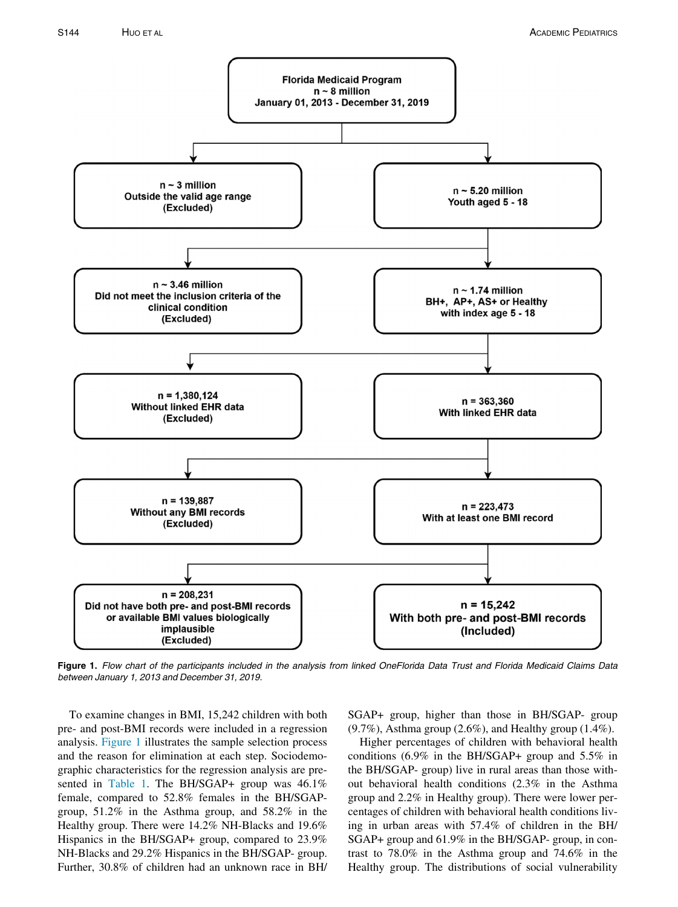<span id="page-4-0"></span>

Figure 1. Flow chart of the participants included in the analysis from linked OneFlorida Data Trust and Florida Medicaid Claims Data between January 1, 2013 and December 31, 2019.

To examine changes in BMI, 15,242 children with both pre- and post-BMI records were included in a regression analysis. [Figure 1](#page-4-0) illustrates the sample selection process and the reason for elimination at each step. Sociodemographic characteristics for the regression analysis are pre-sented in [Table 1](#page-3-0). The BH/SGAP+ group was 46.1% female, compared to 52.8% females in the BH/SGAPgroup, 51.2% in the Asthma group, and 58.2% in the Healthy group. There were 14.2% NH-Blacks and 19.6% Hispanics in the BH/SGAP+ group, compared to 23.9% NH-Blacks and 29.2% Hispanics in the BH/SGAP- group. Further, 30.8% of children had an unknown race in BH/

SGAP+ group, higher than those in BH/SGAP- group (9.7%), Asthma group (2.6%), and Healthy group (1.4%).

Higher percentages of children with behavioral health conditions (6.9% in the BH/SGAP+ group and 5.5% in the BH/SGAP- group) live in rural areas than those without behavioral health conditions (2.3% in the Asthma group and 2.2% in Healthy group). There were lower percentages of children with behavioral health conditions living in urban areas with 57.4% of children in the BH/ SGAP+ group and 61.9% in the BH/SGAP- group, in contrast to 78.0% in the Asthma group and 74.6% in the Healthy group. The distributions of social vulnerability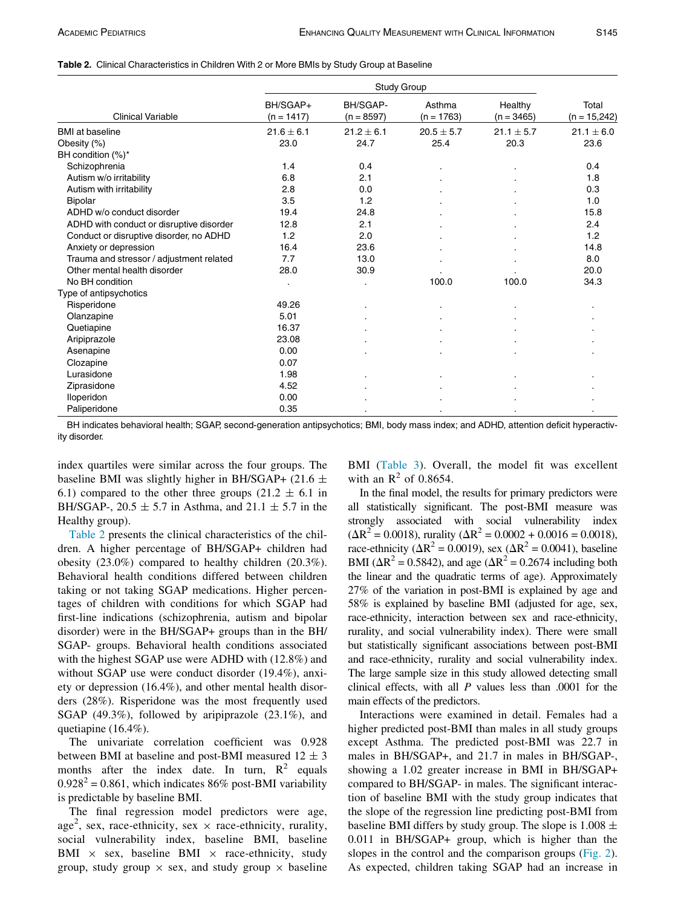### <span id="page-5-0"></span>Table 2. Clinical Characteristics in Children With 2 or More BMIs by Study Group at Baseline

|                                          | Study Group              |                          |                        |                         |                         |
|------------------------------------------|--------------------------|--------------------------|------------------------|-------------------------|-------------------------|
| <b>Clinical Variable</b>                 | BH/SGAP+<br>$(n = 1417)$ | BH/SGAP-<br>$(n = 8597)$ | Asthma<br>$(n = 1763)$ | Healthy<br>$(n = 3465)$ | Total<br>$(n = 15,242)$ |
| <b>BMI</b> at baseline                   | $21.6 \pm 6.1$           | $21.2 \pm 6.1$           | $20.5 \pm 5.7$         | $21.1 \pm 5.7$          | $21.1 \pm 6.0$          |
| Obesity (%)                              | 23.0                     | 24.7                     | 25.4                   | 20.3                    | 23.6                    |
| BH condition $(\%)^*$                    |                          |                          |                        |                         |                         |
| Schizophrenia                            | 1.4                      | 0.4                      |                        |                         | 0.4                     |
| Autism w/o irritability                  | 6.8                      | 2.1                      |                        |                         | 1.8                     |
| Autism with irritability                 | 2.8                      | 0.0                      |                        |                         | 0.3                     |
| Bipolar                                  | 3.5                      | 1.2                      |                        |                         | 1.0                     |
| ADHD w/o conduct disorder                | 19.4                     | 24.8                     |                        |                         | 15.8                    |
| ADHD with conduct or disruptive disorder | 12.8                     | 2.1                      |                        |                         | 2.4                     |
| Conduct or disruptive disorder, no ADHD  | 1.2                      | 2.0                      |                        |                         | 1.2                     |
| Anxiety or depression                    | 16.4                     | 23.6                     |                        |                         | 14.8                    |
| Trauma and stressor / adjustment related | 7.7                      | 13.0                     |                        |                         | 8.0                     |
| Other mental health disorder             | 28.0                     | 30.9                     |                        |                         | 20.0                    |
| No BH condition                          |                          |                          | 100.0                  | 100.0                   | 34.3                    |
| Type of antipsychotics                   |                          |                          |                        |                         |                         |
| Risperidone                              | 49.26                    |                          |                        |                         |                         |
| Olanzapine                               | 5.01                     |                          |                        |                         |                         |
| Quetiapine                               | 16.37                    |                          |                        |                         |                         |
| Aripiprazole                             | 23.08                    |                          |                        |                         |                         |
| Asenapine                                | 0.00                     |                          |                        |                         |                         |
| Clozapine                                | 0.07                     |                          |                        |                         |                         |
| Lurasidone                               | 1.98                     |                          |                        |                         |                         |
| Ziprasidone                              | 4.52                     |                          |                        |                         |                         |
| Iloperidon                               | 0.00                     |                          |                        |                         |                         |
| Paliperidone                             | 0.35                     |                          |                        |                         |                         |

BH indicates behavioral health; SGAP, second-generation antipsychotics; BMI, body mass index; and ADHD, attention deficit hyperactivity disorder.

index quartiles were similar across the four groups. The baseline BMI was slightly higher in BH/SGAP+ (21.6  $\pm$ 6.1) compared to the other three groups  $(21.2 \pm 6.1 \text{ in}$ BH/SGAP-, 20.5  $\pm$  5.7 in Asthma, and 21.1  $\pm$  5.7 in the Healthy group).

[Table 2](#page-5-0) presents the clinical characteristics of the children. A higher percentage of BH/SGAP+ children had obesity (23.0%) compared to healthy children (20.3%). Behavioral health conditions differed between children taking or not taking SGAP medications. Higher percentages of children with conditions for which SGAP had first-line indications (schizophrenia, autism and bipolar disorder) were in the BH/SGAP+ groups than in the BH/ SGAP- groups. Behavioral health conditions associated with the highest SGAP use were ADHD with (12.8%) and without SGAP use were conduct disorder (19.4%), anxiety or depression (16.4%), and other mental health disorders (28%). Risperidone was the most frequently used SGAP (49.3%), followed by aripiprazole (23.1%), and quetiapine (16.4%).

The univariate correlation coefficient was 0.928 between BMI at baseline and post-BMI measured  $12 \pm 3$ months after the index date. In turn,  $R^2$  equals  $0.928<sup>2</sup> = 0.861$ , which indicates 86% post-BMI variability is predictable by baseline BMI.

The final regression model predictors were age, age<sup>2</sup>, sex, race-ethnicity, sex  $\times$  race-ethnicity, rurality, social vulnerability index, baseline BMI, baseline BMI  $\times$  sex, baseline BMI  $\times$  race-ethnicity, study group, study group  $\times$  sex, and study group  $\times$  baseline

BMI [\(Table 3](#page-6-0)). Overall, the model fit was excellent with an  $\mathbb{R}^2$  of 0.8654.

In the final model, the results for primary predictors were all statistically significant. The post-BMI measure was strongly associated with social vulnerability index  $(\Delta R^2 = 0.0018)$ , rurality  $(\Delta R^2 = 0.0002 + 0.0016 = 0.0018)$ , race-ethnicity ( $\Delta R^2$  = 0.0019), sex ( $\Delta R^2$  = 0.0041), baseline BMI ( $\Delta R^2$  = 0.5842), and age ( $\Delta R^2$  = 0.2674 including both the linear and the quadratic terms of age). Approximately 27% of the variation in post-BMI is explained by age and 58% is explained by baseline BMI (adjusted for age, sex, race-ethnicity, interaction between sex and race-ethnicity, rurality, and social vulnerability index). There were small but statistically significant associations between post-BMI and race-ethnicity, rurality and social vulnerability index. The large sample size in this study allowed detecting small clinical effects, with all  $P$  values less than .0001 for the main effects of the predictors.

Interactions were examined in detail. Females had a higher predicted post-BMI than males in all study groups except Asthma. The predicted post-BMI was 22.7 in males in BH/SGAP+, and 21.7 in males in BH/SGAP-, showing a 1.02 greater increase in BMI in BH/SGAP+ compared to BH/SGAP- in males. The significant interaction of baseline BMI with the study group indicates that the slope of the regression line predicting post-BMI from baseline BMI differs by study group. The slope is  $1.008 \pm$ 0.011 in BH/SGAP+ group, which is higher than the slopes in the control and the comparison groups [\(Fig. 2](#page-7-0)). As expected, children taking SGAP had an increase in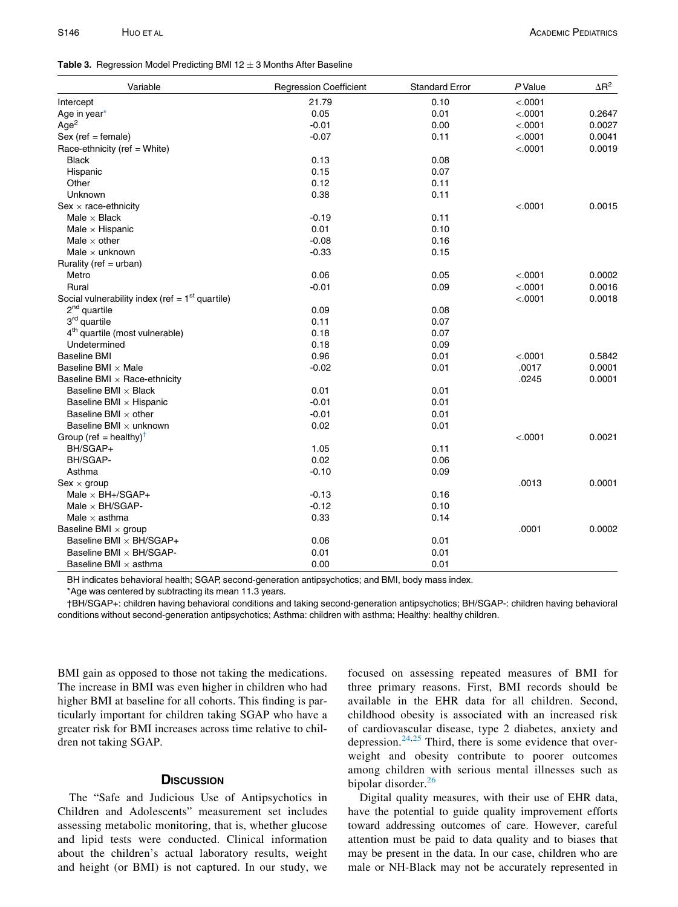### <span id="page-6-0"></span>Table 3. Regression Model Predicting BMI 12  $\pm$  3 Months After Baseline

| Variable                                          | <b>Regression Coefficient</b> | <b>Standard Error</b> | P Value | $\Delta$ R <sup>2</sup> |
|---------------------------------------------------|-------------------------------|-----------------------|---------|-------------------------|
| Intercept                                         | 21.79                         | 0.10                  | < .0001 |                         |
| Age in year*                                      | 0.05                          | 0.01                  | < .0001 | 0.2647                  |
| Age <sup>2</sup>                                  | $-0.01$                       | 0.00                  | < .0001 | 0.0027                  |
| $Sex (ref = female)$                              | $-0.07$                       | 0.11                  | < .0001 | 0.0041                  |
| Race-ethnicity (ref = White)                      |                               |                       | < .0001 | 0.0019                  |
| <b>Black</b>                                      | 0.13                          | 0.08                  |         |                         |
| Hispanic                                          | 0.15                          | 0.07                  |         |                         |
| Other                                             | 0.12                          | 0.11                  |         |                         |
| Unknown                                           | 0.38                          | 0.11                  |         |                         |
| $Sex \times race-ethnicity$                       |                               |                       | < .0001 | 0.0015                  |
| Male $\times$ Black                               | $-0.19$                       | 0.11                  |         |                         |
| Male $\times$ Hispanic                            | 0.01                          | 0.10                  |         |                         |
| Male $\times$ other                               | $-0.08$                       | 0.16                  |         |                         |
| Male $\times$ unknown                             | $-0.33$                       | 0.15                  |         |                         |
| Rurality (ref = $urban$ )                         |                               |                       |         |                         |
| Metro                                             | 0.06                          | 0.05                  | < .0001 | 0.0002                  |
| Rural                                             | $-0.01$                       | 0.09                  | < .0001 | 0.0016                  |
| Social vulnerability index (ref = $1st$ quartile) |                               |                       | < .0001 | 0.0018                  |
| $2nd$ quartile                                    | 0.09                          | 0.08                  |         |                         |
| 3 <sup>rd</sup> quartile                          | 0.11                          | 0.07                  |         |                         |
| 4 <sup>th</sup> quartile (most vulnerable)        | 0.18                          | 0.07                  |         |                         |
| Undetermined                                      | 0.18                          | 0.09                  |         |                         |
| <b>Baseline BMI</b>                               | 0.96                          | 0.01                  | < .0001 | 0.5842                  |
| Baseline BMI $\times$ Male                        | $-0.02$                       | 0.01                  | .0017   | 0.0001                  |
| Baseline BMI $\times$ Race-ethnicity              |                               |                       | .0245   | 0.0001                  |
| Baseline BMI $\times$ Black                       | 0.01                          | 0.01                  |         |                         |
| Baseline BMI x Hispanic                           | $-0.01$                       | 0.01                  |         |                         |
| Baseline BMI $\times$ other                       | $-0.01$                       | 0.01                  |         |                         |
| Baseline BMI $\times$ unknown                     | 0.02                          | 0.01                  |         |                         |
| Group (ref = healthy) <sup>T</sup>                |                               |                       | < .0001 | 0.0021                  |
| BH/SGAP+                                          | 1.05                          | 0.11                  |         |                         |
| BH/SGAP-                                          | 0.02                          | 0.06                  |         |                         |
| Asthma                                            | $-0.10$                       | 0.09                  |         |                         |
| $Sex \times group$                                |                               |                       | .0013   | 0.0001                  |
| Male $\times$ BH+/SGAP+                           | $-0.13$                       | 0.16                  |         |                         |
| Male $\times$ BH/SGAP-                            | $-0.12$                       | 0.10                  |         |                         |
| Male $\times$ asthma                              | 0.33                          | 0.14                  |         |                         |
| Baseline BMI $\times$ group                       |                               |                       | .0001   | 0.0002                  |
| Baseline BMI x BH/SGAP+                           | 0.06                          | 0.01                  |         |                         |
| Baseline BMI $\times$ BH/SGAP-                    | 0.01                          | 0.01                  |         |                         |
| Baseline BMI $\times$ asthma                      | 0.00                          | 0.01                  |         |                         |

BH indicates behavioral health; SGAP, second-generation antipsychotics; and BMI, body mass index.

\*Age was centered by subtracting its mean 11.3 years.

<span id="page-6-1"></span>†BH/SGAP+: children having behavioral conditions and taking second-generation antipsychotics; BH/SGAP-: children having behavioral conditions without second-generation antipsychotics; Asthma: children with asthma; Healthy: healthy children.

BMI gain as opposed to those not taking the medications. The increase in BMI was even higher in children who had higher BMI at baseline for all cohorts. This finding is particularly important for children taking SGAP who have a greater risk for BMI increases across time relative to children not taking SGAP.

# **DISCUSSION**

The "Safe and Judicious Use of Antipsychotics in Children and Adolescents" measurement set includes assessing metabolic monitoring, that is, whether glucose and lipid tests were conducted. Clinical information about the children's actual laboratory results, weight and height (or BMI) is not captured. In our study, we focused on assessing repeated measures of BMI for three primary reasons. First, BMI records should be available in the EHR data for all children. Second, childhood obesity is associated with an increased risk of cardiovascular disease, type 2 diabetes, anxiety and depression. $24,25$  $24,25$  Third, there is some evidence that overweight and obesity contribute to poorer outcomes among children with serious mental illnesses such as bipolar disorder.<sup>[26](#page-9-6)</sup>

Digital quality measures, with their use of EHR data, have the potential to guide quality improvement efforts toward addressing outcomes of care. However, careful attention must be paid to data quality and to biases that may be present in the data. In our case, children who are male or NH-Black may not be accurately represented in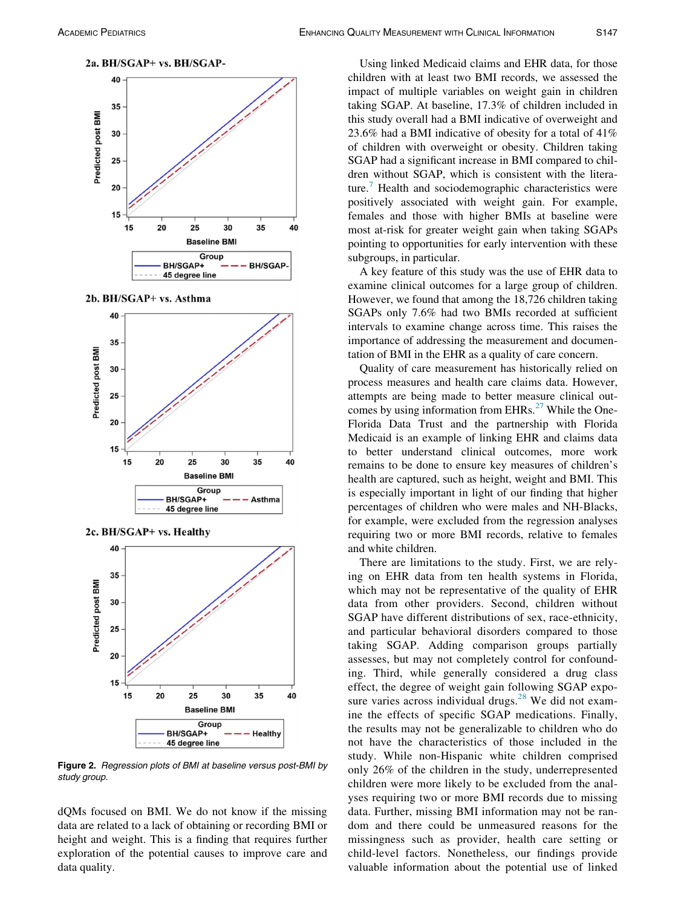<span id="page-7-0"></span>



2b. BH/SGAP+ vs. Asthma





Figure 2. Regression plots of BMI at baseline versus post-BMI by study group.

dQMs focused on BMI. We do not know if the missing data are related to a lack of obtaining or recording BMI or height and weight. This is a finding that requires further exploration of the potential causes to improve care and data quality.

Using linked Medicaid claims and EHR data, for those children with at least two BMI records, we assessed the impact of multiple variables on weight gain in children taking SGAP. At baseline, 17.3% of children included in this study overall had a BMI indicative of overweight and 23.6% had a BMI indicative of obesity for a total of 41% of children with overweight or obesity. Children taking SGAP had a significant increase in BMI compared to children without SGAP, which is consistent with the literature.[7](#page-8-6) Health and sociodemographic characteristics were positively associated with weight gain. For example, females and those with higher BMIs at baseline were most at-risk for greater weight gain when taking SGAPs pointing to opportunities for early intervention with these subgroups, in particular.

A key feature of this study was the use of EHR data to examine clinical outcomes for a large group of children. However, we found that among the 18,726 children taking SGAPs only 7.6% had two BMIs recorded at sufficient intervals to examine change across time. This raises the importance of addressing the measurement and documentation of BMI in the EHR as a quality of care concern.

Quality of care measurement has historically relied on process measures and health care claims data. However, attempts are being made to better measure clinical outcomes by using information from  $EHRs$ <sup>[27](#page-9-7)</sup> While the One-Florida Data Trust and the partnership with Florida Medicaid is an example of linking EHR and claims data to better understand clinical outcomes, more work remains to be done to ensure key measures of children's health are captured, such as height, weight and BMI. This is especially important in light of our finding that higher percentages of children who were males and NH-Blacks, for example, were excluded from the regression analyses requiring two or more BMI records, relative to females and white children.

There are limitations to the study. First, we are relying on EHR data from ten health systems in Florida, which may not be representative of the quality of EHR data from other providers. Second, children without SGAP have different distributions of sex, race-ethnicity, and particular behavioral disorders compared to those taking SGAP. Adding comparison groups partially assesses, but may not completely control for confounding. Third, while generally considered a drug class effect, the degree of weight gain following SGAP exposure varies across individual drugs. $^{28}$  $^{28}$  $^{28}$  We did not examine the effects of specific SGAP medications. Finally, the results may not be generalizable to children who do not have the characteristics of those included in the study. While non-Hispanic white children comprised only 26% of the children in the study, underrepresented children were more likely to be excluded from the analyses requiring two or more BMI records due to missing data. Further, missing BMI information may not be random and there could be unmeasured reasons for the missingness such as provider, health care setting or child-level factors. Nonetheless, our findings provide valuable information about the potential use of linked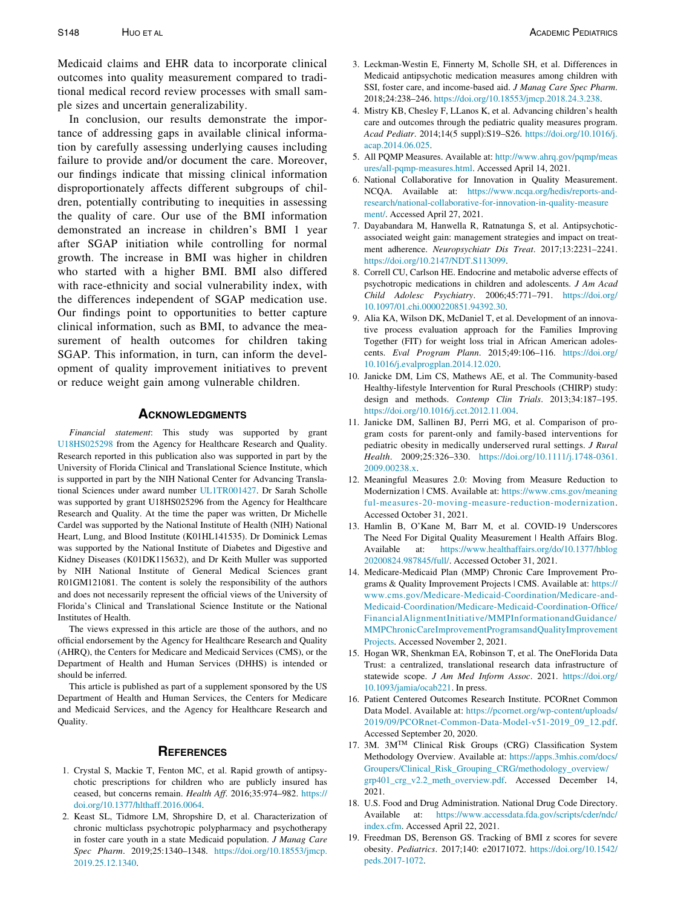<span id="page-8-2"></span>Medicaid claims and EHR data to incorporate clinical outcomes into quality measurement compared to traditional medical record review processes with small sample sizes and uncertain generalizability.

<span id="page-8-7"></span><span id="page-8-6"></span><span id="page-8-5"></span><span id="page-8-4"></span><span id="page-8-3"></span>In conclusion, our results demonstrate the importance of addressing gaps in available clinical information by carefully assessing underlying causes including failure to provide and/or document the care. Moreover, our findings indicate that missing clinical information disproportionately affects different subgroups of children, potentially contributing to inequities in assessing the quality of care. Our use of the BMI information demonstrated an increase in children's BMI 1 year after SGAP initiation while controlling for normal growth. The increase in BMI was higher in children who started with a higher BMI. BMI also differed with race-ethnicity and social vulnerability index, with the differences independent of SGAP medication use. Our findings point to opportunities to better capture clinical information, such as BMI, to advance the measurement of health outcomes for children taking SGAP. This information, in turn, can inform the development of quality improvement initiatives to prevent or reduce weight gain among vulnerable children.

<span id="page-8-18"></span><span id="page-8-17"></span><span id="page-8-10"></span><span id="page-8-9"></span><span id="page-8-8"></span>Financial statement: This study was supported by grant [U18HS025298](#page-8-17) from the Agency for Healthcare Research and Quality. Research reported in this publication also was supported in part by the University of Florida Clinical and Translational Science Institute, which is supported in part by the NIH National Center for Advancing Translational Sciences under award number [UL1TR001427](#page-8-18). Dr Sarah Scholle was supported by grant U18HS025296 from the Agency for Healthcare Research and Quality. At the time the paper was written, Dr Michelle Cardel was supported by the National Institute of Health (NIH) National Heart, Lung, and Blood Institute (K01HL141535). Dr Dominick Lemas was supported by the National Institute of Diabetes and Digestive and Kidney Diseases (K01DK115632), and Dr Keith Muller was supported by NIH National Institute of General Medical Sciences grant R01GM121081. The content is solely the responsibility of the authors and does not necessarily represent the official views of the University of Florida's Clinical and Translational Science Institute or the National Institutes of Health.

<span id="page-8-12"></span><span id="page-8-11"></span>The views expressed in this article are those of the authors, and no official endorsement by the Agency for Healthcare Research and Quality (AHRQ), the Centers for Medicare and Medicaid Services (CMS), or the Department of Health and Human Services (DHHS) is intended or should be inferred.

<span id="page-8-13"></span>This article is published as part of a supplement sponsored by the US Department of Health and Human Services, the Centers for Medicare and Medicaid Services, and the Agency for Healthcare Research and Quality.

- <span id="page-8-14"></span><span id="page-8-0"></span>1. Crystal S, Mackie T, Fenton MC, et al. Rapid growth of antipsychotic prescriptions for children who are publicly insured has ceased, but concerns remain. Health Aff. 2016;35:974–982. [https://](https://doi.org/10.1377/hlthaff.2016.0064) [doi.org/10.1377/hlthaff.2016.0064](https://doi.org/10.1377/hlthaff.2016.0064).
- <span id="page-8-16"></span><span id="page-8-15"></span><span id="page-8-1"></span>2. Keast SL, Tidmore LM, Shropshire D, et al. Characterization of chronic multiclass psychotropic polypharmacy and psychotherapy in foster care youth in a state Medicaid population. J Manag Care Spec Pharm. 2019;25:1340–1348. [https://doi.org/10.18553/jmcp.](https://doi.org/10.18553/jmcp.<?A3B2 re3j?>2019.25.12.1340) [2019.25.12.1340.](https://doi.org/10.18553/jmcp.<?A3B2 re3j?>2019.25.12.1340)
- 3. Leckman-Westin E, Finnerty M, Scholle SH, et al. Differences in Medicaid antipsychotic medication measures among children with SSI, foster care, and income-based aid. J Manag Care Spec Pharm. 2018;24:238–246. [https://doi.org/10.18553/jmcp.2018.24.3.238.](https://doi.org/10.18553/jmcp.2018.24.3.238)
- 4. Mistry KB, Chesley F, LLanos K, et al. Advancing children's health care and outcomes through the pediatric quality measures program. Acad Pediatr. 2014;14(5 suppl):S19–S26. [https://doi.org/10.1016/j.](https://doi.org/10.1016/j.acap.2014.06.025) [acap.2014.06.025.](https://doi.org/10.1016/j.acap.2014.06.025)
- 5. All PQMP Measures. Available at: [http://www.ahrq.gov/pqmp/meas](http://www.ahrq.gov/pqmp/measures/all-pqmp-measures.html) [ures/all-pqmp-measures.html.](http://www.ahrq.gov/pqmp/measures/all-pqmp-measures.html) Accessed April 14, 2021.
- 6. National Collaborative for Innovation in Quality Measurement. NCQA. Available at: [https://www.ncqa.org/hedis/reports-and](https://www.ncqa.org/hedis/reports-and-research/national-collaborative-for-innovation-in-quality-measurement/)[research/national-collaborative-for-innovation-in-quality-measure](https://www.ncqa.org/hedis/reports-and-research/national-collaborative-for-innovation-in-quality-measurement/) [ment/.](https://www.ncqa.org/hedis/reports-and-research/national-collaborative-for-innovation-in-quality-measurement/) Accessed April 27, 2021.
- 7. Dayabandara M, Hanwella R, Ratnatunga S, et al. Antipsychoticassociated weight gain: management strategies and impact on treatment adherence. Neuropsychiatr Dis Treat. 2017;13:2231–2241. <https://doi.org/10.2147/NDT.S113099>.
- 8. Correll CU, Carlson HE. Endocrine and metabolic adverse effects of psychotropic medications in children and adolescents. J Am Acad Child Adolesc Psychiatry. 2006;45:771–791. [https://doi.org/](https://doi.org/10.1097/01.chi.0000220851.94392.30) [10.1097/01.chi.0000220851.94392.30.](https://doi.org/10.1097/01.chi.0000220851.94392.30)
- 9. Alia KA, Wilson DK, McDaniel T, et al. Development of an innovative process evaluation approach for the Families Improving Together (FIT) for weight loss trial in African American adolescents. Eval Program Plann. 2015;49:106–116. [https://doi.org/](https://doi.org/10.1016/j.evalprogplan.2014.12.020) [10.1016/j.evalprogplan.2014.12.020](https://doi.org/10.1016/j.evalprogplan.2014.12.020).
- 10. Janicke DM, Lim CS, Mathews AE, et al. The Community-based Healthy-lifestyle Intervention for Rural Preschools (CHIRP) study: design and methods. Contemp Clin Trials. 2013;34:187–195. <https://doi.org/10.1016/j.cct.2012.11.004>.
- 11. Janicke DM, Sallinen BJ, Perri MG, et al. Comparison of program costs for parent-only and family-based interventions for pediatric obesity in medically underserved rural settings. J Rural Health. 2009;25:326–330. [https://doi.org/10.1111/j.1748-0361.](https://doi.org/10.1111/j.1748-0361.<?A3B2 re3j?>2009.00238.x) [2009.00238.x](https://doi.org/10.1111/j.1748-0361.<?A3B2 re3j?>2009.00238.x).
- 12. Meaningful Measures 2.0: Moving from Measure Reduction to Modernization | CMS. Available at: [https://www.cms.gov/meaning](https://www.cms.gov/meaningful-measures-20-moving-measure-reduction-modernization) [ful-measures-20-moving-measure-reduction-modernization.](https://www.cms.gov/meaningful-measures-20-moving-measure-reduction-modernization) Accessed October 31, 2021.
- 13. Hamlin B, O'Kane M, Barr M, et al. COVID-19 Underscores The Need For Digital Quality Measurement | Health Affairs Blog. Available at: [https://www.healthaffairs.org/do/10.1377/hblog](https://www.healthaffairs.org/do/10.1377/hblog20200824.987845/full/) [20200824.987845/full/.](https://www.healthaffairs.org/do/10.1377/hblog20200824.987845/full/) Accessed October 31, 2021.
- 14. Medicare-Medicaid Plan (MMP) Chronic Care Improvement Programs & Quality Improvement Projects | CMS. Available at: [https://](https://www.cms.gov/Medicare-Medicaid-Coordination/Medicare-and-Medicaid-Coordination/Medicare-Medicaid-Coordination-Office/FinancialAlignmentInitiative/MMPInformationandGuidance/MMPChronicCareImprovementProgramsandQualityImprovementProjects) [www.cms.gov/Medicare-Medicaid-Coordination/Medicare-and-](https://www.cms.gov/Medicare-Medicaid-Coordination/Medicare-and-Medicaid-Coordination/Medicare-Medicaid-Coordination-Office/FinancialAlignmentInitiative/MMPInformationandGuidance/MMPChronicCareImprovementProgramsandQualityImprovementProjects)[Medicaid-Coordination/Medicare-Medicaid-Coordination-Office/](https://www.cms.gov/Medicare-Medicaid-Coordination/Medicare-and-Medicaid-Coordination/Medicare-Medicaid-Coordination-Office/FinancialAlignmentInitiative/MMPInformationandGuidance/MMPChronicCareImprovementProgramsandQualityImprovementProjects) [FinancialAlignmentInitiative/MMPInformationandGuidance/](https://www.cms.gov/Medicare-Medicaid-Coordination/Medicare-and-Medicaid-Coordination/Medicare-Medicaid-Coordination-Office/FinancialAlignmentInitiative/MMPInformationandGuidance/MMPChronicCareImprovementProgramsandQualityImprovementProjects) [MMPChronicCareImprovementProgramsandQualityImprovement](https://www.cms.gov/Medicare-Medicaid-Coordination/Medicare-and-Medicaid-Coordination/Medicare-Medicaid-Coordination-Office/FinancialAlignmentInitiative/MMPInformationandGuidance/MMPChronicCareImprovementProgramsandQualityImprovementProjects) [Projects](https://www.cms.gov/Medicare-Medicaid-Coordination/Medicare-and-Medicaid-Coordination/Medicare-Medicaid-Coordination-Office/FinancialAlignmentInitiative/MMPInformationandGuidance/MMPChronicCareImprovementProgramsandQualityImprovementProjects). Accessed November 2, 2021.
- 15. Hogan WR, Shenkman EA, Robinson T, et al. The OneFlorida Data Trust: a centralized, translational research data infrastructure of statewide scope. J Am Med Inform Assoc. 2021. [https://doi.org/](https://doi.org/10.1093/jamia/ocab221) [10.1093/jamia/ocab221.](https://doi.org/10.1093/jamia/ocab221) In press.
- 16. Patient Centered Outcomes Research Institute. PCORnet Common Data Model. Available at: [https://pcornet.org/wp-content/uploads/](https://pcornet.org/wp-content/uploads/2019/09/PCORnet-Common-Data-Model-v51-2019_09_12.pdf) [2019/09/PCORnet-Common-Data-Model-v51-2019\\_09\\_12.pdf.](https://pcornet.org/wp-content/uploads/2019/09/PCORnet-Common-Data-Model-v51-2019_09_12.pdf) Accessed September 20, 2020.
- 17. 3M. 3M<sup>TM</sup> Clinical Risk Groups (CRG) Classification System Methodology Overview. Available at: [https://apps.3mhis.com/docs/](https://apps.3mhis.com/docs/Groupers/Clinical_Risk_Grouping_CRG/methodology_overview/grp401_crg_v2.2_meth_overview.pdf) [Groupers/Clinical\\_Risk\\_Grouping\\_CRG/methodology\\_overview/](https://apps.3mhis.com/docs/Groupers/Clinical_Risk_Grouping_CRG/methodology_overview/grp401_crg_v2.2_meth_overview.pdf) [grp401\\_crg\\_v2.2\\_meth\\_overview.pdf](https://apps.3mhis.com/docs/Groupers/Clinical_Risk_Grouping_CRG/methodology_overview/grp401_crg_v2.2_meth_overview.pdf). Accessed December 14, 2021.
- 18. U.S. Food and Drug Administration. National Drug Code Directory. Available at: [https://www.accessdata.fda.gov/scripts/cder/ndc/](https://www.accessdata.fda.gov/scripts/cder/ndc/index.cfm) [index.cfm.](https://www.accessdata.fda.gov/scripts/cder/ndc/index.cfm) Accessed April 22, 2021.
- 19. Freedman DS, Berenson GS. Tracking of BMI z scores for severe obesity. Pediatrics. 2017;140: e20171072. [https://doi.org/10.1542/](https://doi.org/10.1542/peds.2017-1072) [peds.2017-1072](https://doi.org/10.1542/peds.2017-1072).